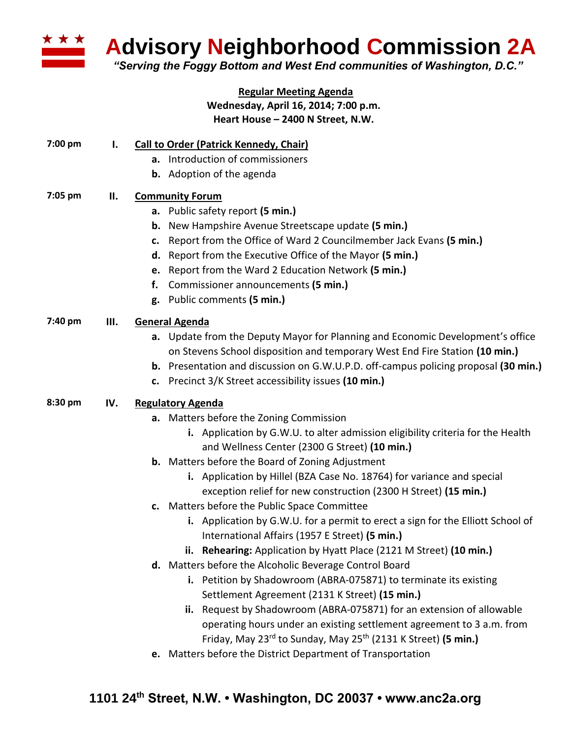

**Advisory Neighborhood Commission 2A**

*"Serving the Foggy Bottom and West End communities of Washington, D.C."*

#### **Regular Meeting Agenda Wednesday, April 16, 2014; 7:00 p.m. Heart House – 2400 N Street, N.W.**

# **7:00 pm I. Call to Order (Patrick Kennedy, Chair)**

- **a.** Introduction of commissioners
- **b.** Adoption of the agenda

## **7:05 pm II. Community Forum**

- **a.** Public safety report **(5 min.)**
- **b.** New Hampshire Avenue Streetscape update **(5 min.)**
- **c.** Report from the Office of Ward 2 Councilmember Jack Evans **(5 min.)**
- **d.** Report from the Executive Office of the Mayor **(5 min.)**
- **e.** Report from the Ward 2 Education Network **(5 min.)**
- **f.** Commissioner announcements **(5 min.)**
- **g.** Public comments **(5 min.)**

## **7:40 pm III. General Agenda**

- **a.** Update from the Deputy Mayor for Planning and Economic Development's office on Stevens School disposition and temporary West End Fire Station **(10 min.)**
- **b.** Presentation and discussion on G.W.U.P.D. off-campus policing proposal **(30 min.)**
- **c.** Precinct 3/K Street accessibility issues **(10 min.)**

## **8:30 pm IV. Regulatory Agenda**

- **a.** Matters before the Zoning Commission
	- **i.** Application by G.W.U. to alter admission eligibility criteria for the Health and Wellness Center (2300 G Street) **(10 min.)**
- **b.** Matters before the Board of Zoning Adjustment
	- **i.** Application by Hillel (BZA Case No. 18764) for variance and special exception relief for new construction (2300 H Street) **(15 min.)**
- **c.** Matters before the Public Space Committee
	- **i.** Application by G.W.U. for a permit to erect a sign for the Elliott School of International Affairs (1957 E Street) **(5 min.)**
	- **ii. Rehearing:** Application by Hyatt Place (2121 M Street) **(10 min.)**
- **d.** Matters before the Alcoholic Beverage Control Board
	- **i.** Petition by Shadowroom (ABRA-075871) to terminate its existing Settlement Agreement (2131 K Street) **(15 min.)**
	- **ii.** Request by Shadowroom (ABRA-075871) for an extension of allowable operating hours under an existing settlement agreement to 3 a.m. from Friday, May 23rd to Sunday, May 25th (2131 K Street) **(5 min.)**
- **e.** Matters before the District Department of Transportation